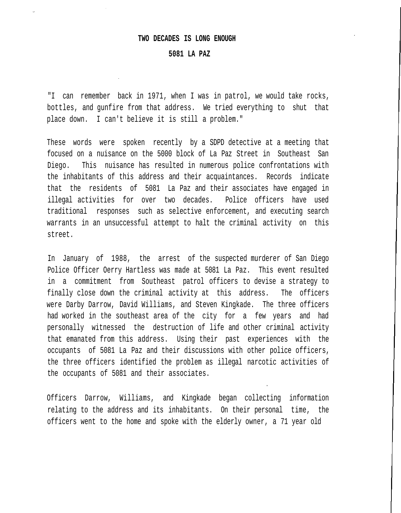#### **TWO DECADES IS LONG ENOUGH**

## **5081 LA PAZ**

"I can remember back in 1971, when I was in patrol, we would take rocks, bottles, and gunfire from that address. We tried everything to shut that place down. I can't believe it is still a problem."

These words were spoken recently by a SDPD detective at a meeting that focused on a nuisance on the 5000 block of La Paz Street in Southeast San Diego. This nuisance has resulted in numerous police confrontations with the inhabitants of this address and their acquaintances. Records indicate that the residents of 5081 La Paz and their associates have engaged in illegal activities for over two decades. Police officers have used traditional responses such as selective enforcement, and executing search warrants in an unsuccessful attempt to halt the criminal activity on this street.

In January of 1988, the arrest of the suspected murderer of San Diego Police Officer Oerry Hartless was made at 5081 La Paz. This event resulted in a commitment from Southeast patrol officers to devise a strategy to finally close down the criminal activity at this address. The officers were Darby Darrow, David Williams, and Steven Kingkade. The three officers had worked in the southeast area of the city for a few years and had personally witnessed the destruction of life and other criminal activity that emanated from this address. Using their past experiences with the occupants of 5081 La Paz and their discussions with other police officers, the three officers identified the problem as illegal narcotic activities of the occupants of 5081 and their associates.

Officers Darrow, Williams, and Kingkade began collecting information relating to the address and its inhabitants. On their personal time, the officers went to the home and spoke with the elderly owner, a 71 year old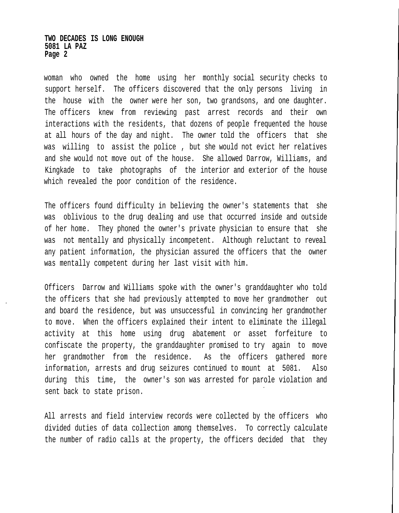### **TWO DECADES IS LONG ENOUGH 5081 LA PAZ Page 2**

woman who owned the home using her monthly social security checks to support herself. The officers discovered that the only persons living in the house with the owner were her son, two grandsons, and one daughter. The officers knew from reviewing past arrest records and their own interactions with the residents, that dozens of people frequented the house at all hours of the day and night. The owner told the officers that she was willing to assist the police , but she would not evict her relatives and she would not move out of the house. She allowed Darrow, Williams, and Kingkade to take photographs of the interior and exterior of the house which revealed the poor condition of the residence.

The officers found difficulty in believing the owner's statements that she was oblivious to the drug dealing and use that occurred inside and outside of her home. They phoned the owner's private physician to ensure that she was not mentally and physically incompetent. Although reluctant to reveal any patient information, the physician assured the officers that the owner was mentally competent during her last visit with him.

Officers Darrow and Williams spoke with the owner's granddaughter who told the officers that she had previously attempted to move her grandmother out and board the residence, but was unsuccessful in convincing her grandmother to move. When the officers explained their intent to eliminate the illegal activity at this home using drug abatement or asset forfeiture to confiscate the property, the granddaughter promised to try again to move her grandmother from the residence. As the officers gathered more information, arrests and drug seizures continued to mount at 5081. Also during this time, the owner's son was arrested for parole violation and sent back to state prison.

All arrests and field interview records were collected by the officers who divided duties of data collection among themselves. To correctly calculate the number of radio calls at the property, the officers decided that they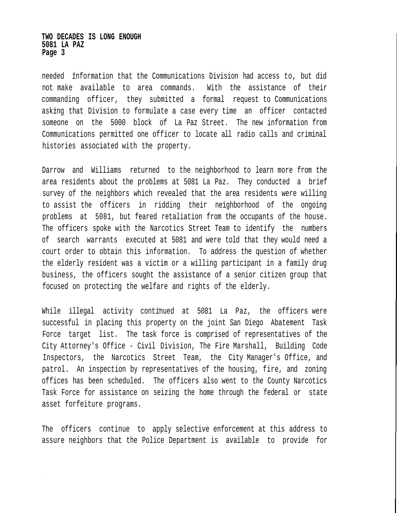### **TWO DECADES IS LONG ENOUGH 5081 LA PAZ Page 3**

needed information that the Communications Division had access to, but did not make available to area commands. With the assistance of their commanding officer, they submitted a formal request to Communications asking that Division to formulate a case every time an officer contacted someone on the 5000 block of La Paz Street. The new information from Communications permitted one officer to locate all radio calls and criminal histories associated with the property.

Darrow and Williams returned to the neighborhood to learn more from the area residents about the problems at 5081 La Paz. They conducted a brief survey of the neighbors which revealed that the area residents were willing to assist the officers in ridding their neighborhood of the ongoing problems at 5081, but feared retaliation from the occupants of the house. The officers spoke with the Narcotics Street Team to identify the numbers of search warrants executed at 5081 and were told that they would need a court order to obtain this information. To address the question of whether the elderly resident was a victim or a willing participant in a family drug business, the officers sought the assistance of a senior citizen group that focused on protecting the welfare and rights of the elderly.

While illegal activity continued at 5081 La Paz, the officers were successful in placing this property on the joint San Diego Abatement Task Force target list. The task force is comprised of representatives of the City Attorney's Office - Civil Division, The Fire Marshall, Building Code Inspectors, the Narcotics Street Team, the City Manager's Office, and patrol. An inspection by representatives of the housing, fire, and zoning offices has been scheduled. The officers also went to the County Narcotics Task Force for assistance on seizing the home through the federal or state asset forfeiture programs.

The officers continue to apply selective enforcement at this address to assure neighbors that the Police Department is available to provide for